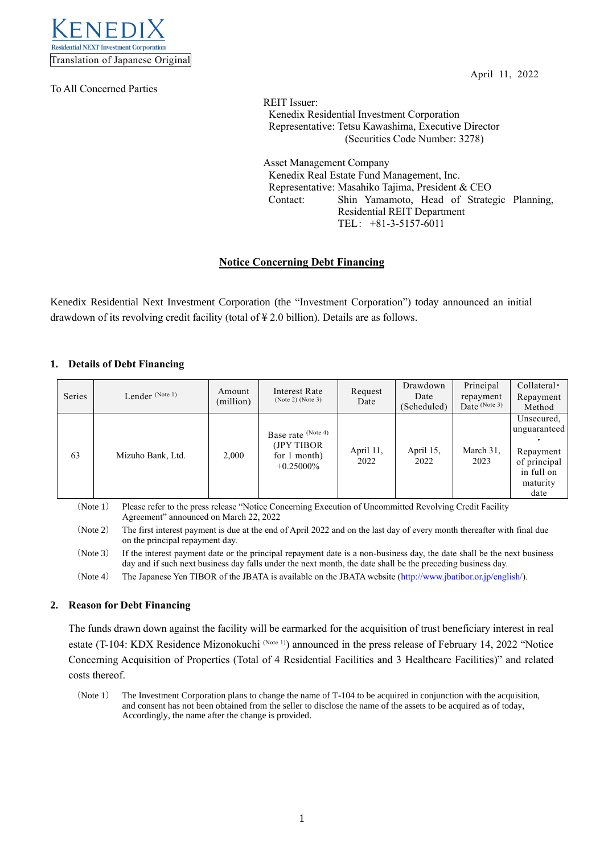

To All Concerned Parties

April 11, 2022

REIT Issuer: Kenedix Residential Investment Corporation Representative: Tetsu Kawashima, Executive Director (Securities Code Number: 3278)

Asset Management Company Kenedix Real Estate Fund Management, Inc. Representative: Masahiko Tajima, President & CEO Contact: Shin Yamamoto, Head of Strategic Planning, Residential REIT Department TEL: +81-3-5157-6011

# **Notice Concerning Debt Financing**

Kenedix Residential Next Investment Corporation (the "Investment Corporation") today announced an initial drawdown of its revolving credit facility (total of ¥ 2.0 billion). Details are as follows.

## **1. Details of Debt Financing**

| Series | Lender (Note 1)                                                                                                                                                                                                                                                                                                     | Amount<br>(million) | Interest Rate<br>(Note 2) (Note 3)                                | Request<br>Date   | Drawdown<br>Date<br>(Scheduled) | Principal<br>repayment<br>Date $(Note 3)$ | $Collateral \cdot$<br>Repayment<br>Method                                                 |
|--------|---------------------------------------------------------------------------------------------------------------------------------------------------------------------------------------------------------------------------------------------------------------------------------------------------------------------|---------------------|-------------------------------------------------------------------|-------------------|---------------------------------|-------------------------------------------|-------------------------------------------------------------------------------------------|
| 63     | Mizuho Bank, Ltd.                                                                                                                                                                                                                                                                                                   | 2.000               | Base rate (Note 4)<br>(JPY TIBOR)<br>for 1 month)<br>$+0.25000\%$ | April 11,<br>2022 | April 15,<br>2022               | March 31,<br>2023                         | Unsecured,<br>unguaranteed<br>Repayment<br>of principal<br>in full on<br>maturity<br>date |
|        | (Note 1)<br>Please refer to the press release "Notice Concerning Execution of Uncommitted Revolving Credit Facility<br>Agreement" announced on March 22, 2022<br>$(\text{Nota } \gamma)$<br>The first interest normant is due of the and of April 2022 and on the lest day of eveny menth thereafter with final due |                     |                                                                   |                   |                                 |                                           |                                                                                           |

(Note 2) The first interest payment is due at the end of April 2022 and on the last day of every month thereafter with final due on the principal repayment day.

(Note 3) If the interest payment date or the principal repayment date is a non-business day, the date shall be the next business day and if such next business day falls under the next month, the date shall be the preceding business day.

(Note 4) The Japanese Yen TIBOR of the JBATA is available on the JBATA website [\(http://www.jbatibor.or.jp/english/\)](http://www.jbatibor.or.jp/english/).

### **2. Reason for Debt Financing**

The funds drawn down against the facility will be earmarked for the acquisition of trust beneficiary interest in real estate (T-104: KDX Residence Mizonokuchi (Note 1)) announced in the press release of February 14, 2022 "Notice Concerning Acquisition of Properties (Total of 4 Residential Facilities and 3 Healthcare Facilities)" and related costs thereof.

(Note 1) The Investment Corporation plans to change the name of T-104 to be acquired in conjunction with the acquisition, and consent has not been obtained from the seller to disclose the name of the assets to be acquired as of today, Accordingly, the name after the change is provided.